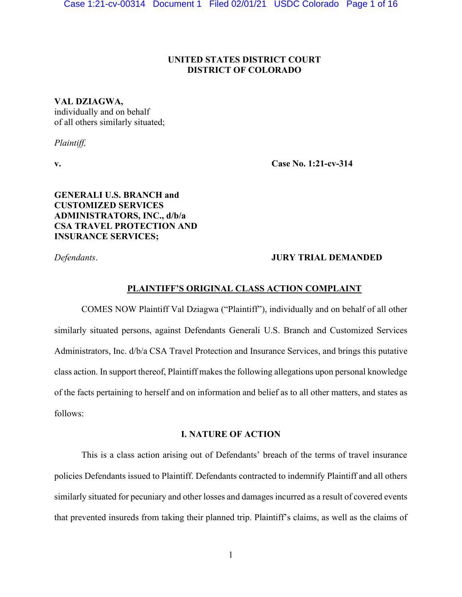# **UNITED STATES DISTRICT COURT DISTRICT OF COLORADO**

## **VAL DZIAGWA,**

individually and on behalf of all others similarly situated;

*Plaintiff,*

**v. Case No. 1:21-cv-314**

**GENERALI U.S. BRANCH and CUSTOMIZED SERVICES ADMINISTRATORS, INC., d/b/a CSA TRAVEL PROTECTION AND INSURANCE SERVICES;** 

# *Defendants*. **JURY TRIAL DEMANDED**

## PLAINTIFF'S ORIGINAL CLASS ACTION COMPLAINT

COMES NOW Plaintiff Val Dziagwa ("Plaintiff"), individually and on behalf of all other similarly situated persons, against Defendants Generali U.S. Branch and Customized Services Administrators, Inc. d/b/a CSA Travel Protection and Insurance Services, and brings this putative class action. In support thereof, Plaintiff makes the following allegations upon personal knowledge of the facts pertaining to herself and on information and belief as to all other matters, and states as follows:

## **I. NATURE OF ACTION**

This is a class action arising out of Defendants' breach of the terms of travel insurance policies Defendants issued to Plaintiff. Defendants contracted to indemnify Plaintiff and all others similarly situated for pecuniary and other losses and damages incurred as a result of covered events that prevented insureds from taking their planned trip. Plaintiff's claims, as well as the claims of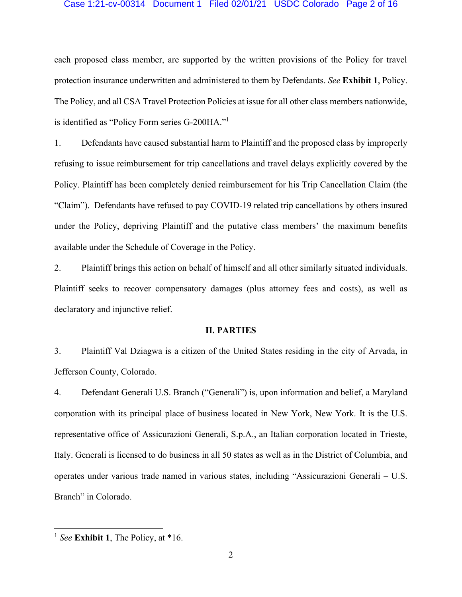### Case 1:21-cv-00314 Document 1 Filed 02/01/21 USDC Colorado Page 2 of 16

each proposed class member, are supported by the written provisions of the Policy for travel protection insurance underwritten and administered to them by Defendants. *See* **Exhibit 1**, Policy. The Policy, and all CSA Travel Protection Policies at issue for all other class members nationwide, is identified as "Policy Form series  $G-200HA$ ."

1. Defendants have caused substantial harm to Plaintiff and the proposed class by improperly refusing to issue reimbursement for trip cancellations and travel delays explicitly covered by the Policy. Plaintiff has been completely denied reimbursement for his Trip Cancellation Claim (the ³Claim´). Defendants have refused to pay COVID-19 related trip cancellations by others insured under the Policy, depriving Plaintiff and the putative class members' the maximum benefits available under the Schedule of Coverage in the Policy.

2. Plaintiff brings this action on behalf of himself and all other similarly situated individuals. Plaintiff seeks to recover compensatory damages (plus attorney fees and costs), as well as declaratory and injunctive relief.

## **II. PARTIES**

3. Plaintiff Val Dziagwa is a citizen of the United States residing in the city of Arvada, in Jefferson County, Colorado.

4. Defendant Generali U.S. Branch ("Generali") is, upon information and belief, a Maryland corporation with its principal place of business located in New York, New York. It is the U.S. representative office of Assicurazioni Generali, S.p.A., an Italian corporation located in Trieste, Italy. Generali is licensed to do business in all 50 states as well as in the District of Columbia, and operates under various trade named in various states, including "Assicurazioni Generali – U.S. Branch" in Colorado.

<sup>1</sup> *See* **Exhibit 1**, The Policy, at \*16.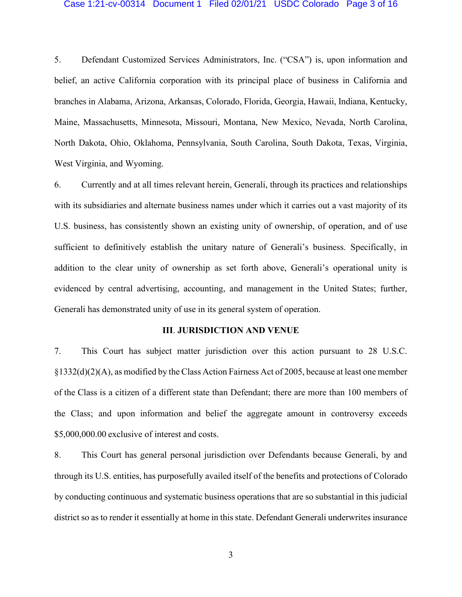#### Case 1:21-cv-00314 Document 1 Filed 02/01/21 USDC Colorado Page 3 of 16

5. Defendant Customized Services Administrators, Inc. ("CSA") is, upon information and belief, an active California corporation with its principal place of business in California and branches in Alabama, Arizona, Arkansas, Colorado, Florida, Georgia, Hawaii, Indiana, Kentucky, Maine, Massachusetts, Minnesota, Missouri, Montana, New Mexico, Nevada, North Carolina, North Dakota, Ohio, Oklahoma, Pennsylvania, South Carolina, South Dakota, Texas, Virginia, West Virginia, and Wyoming.

6. Currently and at all times relevant herein, Generali, through its practices and relationships with its subsidiaries and alternate business names under which it carries out a vast majority of its U.S. business, has consistently shown an existing unity of ownership, of operation, and of use sufficient to definitively establish the unitary nature of Generali's business. Specifically, in addition to the clear unity of ownership as set forth above, Generali's operational unity is evidenced by central advertising, accounting, and management in the United States; further, Generali has demonstrated unity of use in its general system of operation.

## **III**. **JURISDICTION AND VENUE**

7. This Court has subject matter jurisdiction over this action pursuant to 28 U.S.C. §1332(d)(2)(A), as modified by the Class Action Fairness Act of 2005, because at least one member of the Class is a citizen of a different state than Defendant; there are more than 100 members of the Class; and upon information and belief the aggregate amount in controversy exceeds \$5,000,000.00 exclusive of interest and costs.

8. This Court has general personal jurisdiction over Defendants because Generali, by and through its U.S. entities, has purposefully availed itself of the benefits and protections of Colorado by conducting continuous and systematic business operations that are so substantial in this judicial district so as to render it essentially at home in this state. Defendant Generali underwrites insurance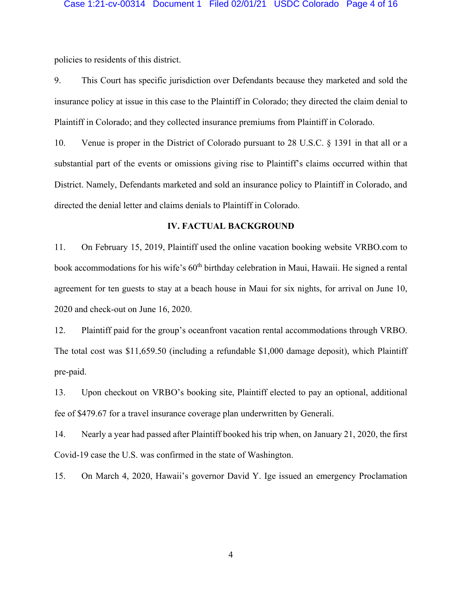policies to residents of this district.

9. This Court has specific jurisdiction over Defendants because they marketed and sold the insurance policy at issue in this case to the Plaintiff in Colorado; they directed the claim denial to Plaintiff in Colorado; and they collected insurance premiums from Plaintiff in Colorado.

10. Venue is proper in the District of Colorado pursuant to 28 U.S.C. § 1391 in that all or a substantial part of the events or omissions giving rise to Plaintiff's claims occurred within that District. Namely, Defendants marketed and sold an insurance policy to Plaintiff in Colorado, and directed the denial letter and claims denials to Plaintiff in Colorado.

## **IV. FACTUAL BACKGROUND**

11. On February 15, 2019, Plaintiff used the online vacation booking website VRBO.com to book accommodations for his wife's 60<sup>th</sup> birthday celebration in Maui, Hawaii. He signed a rental agreement for ten guests to stay at a beach house in Maui for six nights, for arrival on June 10, 2020 and check-out on June 16, 2020.

12. Plaintiff paid for the group's oceanfront vacation rental accommodations through VRBO. The total cost was \$11,659.50 (including a refundable \$1,000 damage deposit), which Plaintiff pre-paid.

13. Upon checkout on VRBO's booking site, Plaintiff elected to pay an optional, additional fee of \$479.67 for a travel insurance coverage plan underwritten by Generali.

14. Nearly a year had passed after Plaintiff booked his trip when, on January 21, 2020, the first Covid-19 case the U.S. was confirmed in the state of Washington.

15. On March 4, 2020, Hawaii's governor David Y. Ige issued an emergency Proclamation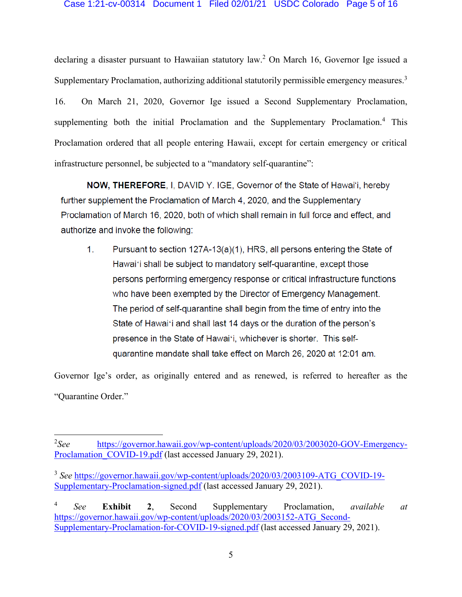declaring a disaster pursuant to Hawaiian statutory law.<sup>2</sup> On March 16, Governor Ige issued a Supplementary Proclamation, authorizing additional statutorily permissible emergency measures.<sup>3</sup> 16. On March 21, 2020, Governor Ige issued a Second Supplementary Proclamation, supplementing both the initial Proclamation and the Supplementary Proclamation.<sup>4</sup> This Proclamation ordered that all people entering Hawaii, except for certain emergency or critical infrastructure personnel, be subjected to a "mandatory self-quarantine":

NOW, THEREFORE, I, DAVID Y. IGE, Governor of the State of Hawai'i, hereby further supplement the Proclamation of March 4, 2020, and the Supplementary Proclamation of March 16, 2020, both of which shall remain in full force and effect, and authorize and invoke the following:

 $1<sub>1</sub>$ Pursuant to section 127A-13(a)(1), HRS, all persons entering the State of Hawai'i shall be subject to mandatory self-quarantine, except those persons performing emergency response or critical infrastructure functions who have been exempted by the Director of Emergency Management. The period of self-quarantine shall begin from the time of entry into the State of Hawai'i and shall last 14 days or the duration of the person's presence in the State of Hawai'i, whichever is shorter. This selfquarantine mandate shall take effect on March 26, 2020 at 12:01 am.

Governor Ige's order, as originally entered and as renewed, is referred to hereafter as the "Quarantine Order."

 $2$ See *See* [https://governor.hawaii.gov/wp-content/uploads/2020/03/2003020-GOV-Emergency-](https://governor.hawaii.gov/wp-content/uploads/2020/03/2003020-GOV-Emergency-Proclamation_COVID-19.pdf)Proclamation COVID-19.pdf (last accessed January 29, 2021).

<sup>&</sup>lt;sup>3</sup> See [https://governor.hawaii.gov/wp-content/uploads/2020/03/2003109-ATG\\_COVID-19-](https://governor.hawaii.gov/wp-content/uploads/2020/03/2003109-ATG_COVID-19-Supplementary-Proclamation-signed.pdf) [Supplementary-Proclamation-signed.pdf](https://governor.hawaii.gov/wp-content/uploads/2020/03/2003109-ATG_COVID-19-Supplementary-Proclamation-signed.pdf) (last accessed January 29, 2021).

<sup>4</sup> *See* **Exhibit 2**, Second Supplementary Proclamation, *available at*  [https://governor.hawaii.gov/wp-content/uploads/2020/03/2003152-ATG\\_Second-](https://governor.hawaii.gov/wp-content/uploads/2020/03/2003152-ATG_Second-Supplementary-Proclamation-for-COVID-19-signed.pdf)[Supplementary-Proclamation-for-COVID-19-signed.pdf](https://governor.hawaii.gov/wp-content/uploads/2020/03/2003152-ATG_Second-Supplementary-Proclamation-for-COVID-19-signed.pdf) (last accessed January 29, 2021).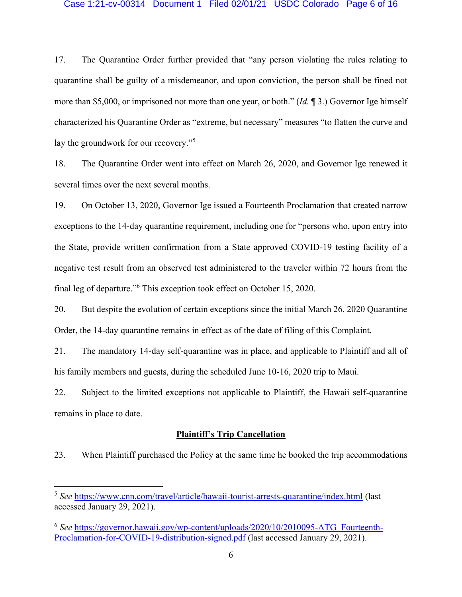### Case 1:21-cv-00314 Document 1 Filed 02/01/21 USDC Colorado Page 6 of 16

17. The Quarantine Order further provided that "any person violating the rules relating to quarantine shall be guilty of a misdemeanor, and upon conviction, the person shall be fined not more than \$5,000, or imprisoned not more than one year, or both." (*Id.* 1 3.) Governor Ige himself characterized his Quarantine Order as "extreme, but necessary" measures "to flatten the curve and lay the groundwork for our recovery.<sup>"5</sup>

18. The Quarantine Order went into effect on March 26, 2020, and Governor Ige renewed it several times over the next several months.

19. On October 13, 2020, Governor Ige issued a Fourteenth Proclamation that created narrow exceptions to the 14-day quarantine requirement, including one for "persons who, upon entry into the State, provide written confirmation from a State approved COVID-19 testing facility of a negative test result from an observed test administered to the traveler within 72 hours from the final leg of departure."<sup>6</sup> This exception took effect on October 15, 2020.

20. But despite the evolution of certain exceptions since the initial March 26, 2020 Quarantine Order, the 14-day quarantine remains in effect as of the date of filing of this Complaint.

21. The mandatory 14-day self-quarantine was in place, and applicable to Plaintiff and all of his family members and guests, during the scheduled June 10-16, 2020 trip to Maui.

22. Subject to the limited exceptions not applicable to Plaintiff, the Hawaii self-quarantine remains in place to date.

# **Plaintiff's Trip Cancellation**

23. When Plaintiff purchased the Policy at the same time he booked the trip accommodations

<sup>5</sup> *See* <https://www.cnn.com/travel/article/hawaii-tourist-arrests-quarantine/index.html> (last accessed January 29, 2021).

<sup>6</sup> *See* [https://governor.hawaii.gov/wp-content/uploads/2020/10/2010095-ATG\\_Fourteenth-](https://governor.hawaii.gov/wp-content/uploads/2020/10/2010095-ATG_Fourteenth-Proclamation-for-COVID-19-distribution-signed.pdf)[Proclamation-for-COVID-19-distribution-signed.pdf](https://governor.hawaii.gov/wp-content/uploads/2020/10/2010095-ATG_Fourteenth-Proclamation-for-COVID-19-distribution-signed.pdf) (last accessed January 29, 2021).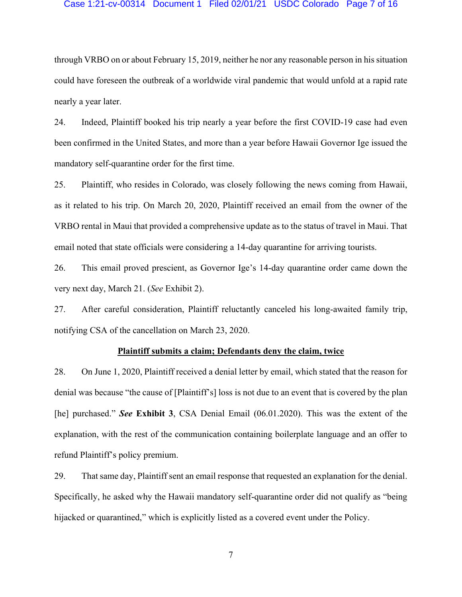#### Case 1:21-cv-00314 Document 1 Filed 02/01/21 USDC Colorado Page 7 of 16

through VRBO on or about February 15, 2019, neither he nor any reasonable person in his situation could have foreseen the outbreak of a worldwide viral pandemic that would unfold at a rapid rate nearly a year later.

24. Indeed, Plaintiff booked his trip nearly a year before the first COVID-19 case had even been confirmed in the United States, and more than a year before Hawaii Governor Ige issued the mandatory self-quarantine order for the first time.

25. Plaintiff, who resides in Colorado, was closely following the news coming from Hawaii, as it related to his trip. On March 20, 2020, Plaintiff received an email from the owner of the VRBO rental in Maui that provided a comprehensive update as to the status of travel in Maui. That email noted that state officials were considering a 14-day quarantine for arriving tourists.

26. This email proved prescient, as Governor Ige's 14-day quarantine order came down the very next day, March 21. (*See* Exhibit 2).

27. After careful consideration, Plaintiff reluctantly canceled his long-awaited family trip, notifying CSA of the cancellation on March 23, 2020.

## **Plaintiff submits a claim; Defendants deny the claim, twice**

28. On June 1, 2020, Plaintiff received a denial letter by email, which stated that the reason for denial was because "the cause of [Plaintiff's] loss is not due to an event that is covered by the plan [he] purchased.´ *See* **Exhibit 3**, CSA Denial Email (06.01.2020). This was the extent of the explanation, with the rest of the communication containing boilerplate language and an offer to refund Plaintiff's policy premium.

29. That same day, Plaintiff sent an email response that requested an explanation for the denial. Specifically, he asked why the Hawaii mandatory self-quarantine order did not qualify as "being" hijacked or quarantined," which is explicitly listed as a covered event under the Policy.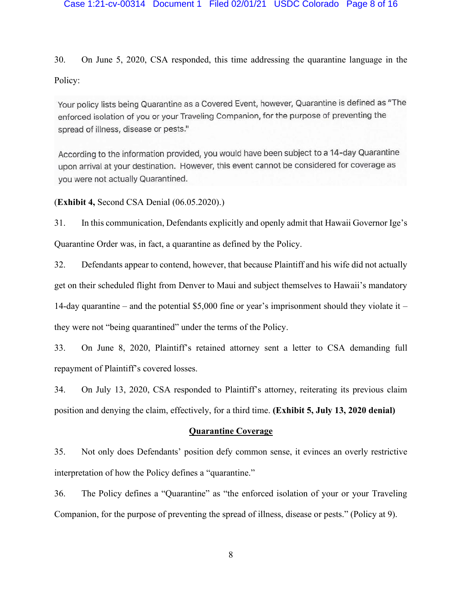### Case 1:21-cv-00314 Document 1 Filed 02/01/21 USDC Colorado Page 8 of 16

30. On June 5, 2020, CSA responded, this time addressing the quarantine language in the Policy:

Your policy lists being Quarantine as a Covered Event, however, Quarantine is defined as "The enforced isolation of you or your Traveling Companion, for the purpose of preventing the spread of illness, disease or pests."

According to the information provided, you would have been subject to a 14-day Quarantine upon arrival at your destination. However, this event cannot be considered for coverage as vou were not actually Quarantined.

(**Exhibit 4,** Second CSA Denial (06.05.2020).)

31. In this communication, Defendants explicitly and openly admit that Hawaii Governor Ige's Quarantine Order was, in fact, a quarantine as defined by the Policy.

32. Defendants appear to contend, however, that because Plaintiff and his wife did not actually get on their scheduled flight from Denver to Maui and subject themselves to Hawaii's mandatory 14-day quarantine – and the potential \$5,000 fine or year's imprisonment should they violate it – they were not "being quarantined" under the terms of the Policy.

33. On June 8, 2020, Plaintiff's retained attorney sent a letter to CSA demanding full repayment of Plaintiff's covered losses.

34. On July 13, 2020, CSA responded to Plaintiff's attorney, reiterating its previous claim position and denying the claim, effectively, for a third time. **(Exhibit 5, July 13, 2020 denial)**

# **Quarantine Coverage**

35. Not only does Defendants' position defy common sense, it evinces an overly restrictive interpretation of how the Policy defines a "quarantine."

36. The Policy defines a "Quarantine" as "the enforced isolation of your or your Traveling Companion, for the purpose of preventing the spread of illness, disease or pests.´ (Policy at 9).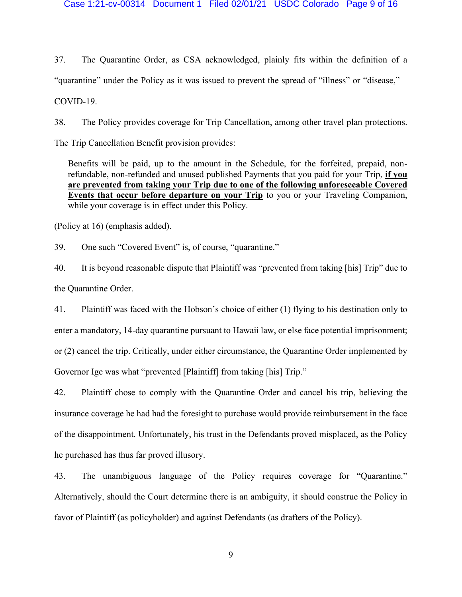#### Case 1:21-cv-00314 Document 1 Filed 02/01/21 USDC Colorado Page 9 of 16

37. The Quarantine Order, as CSA acknowledged, plainly fits within the definition of a "quarantine" under the Policy as it was issued to prevent the spread of "illness" or "disease," – COVID-19.

38. The Policy provides coverage for Trip Cancellation, among other travel plan protections.

The Trip Cancellation Benefit provision provides:

Benefits will be paid, up to the amount in the Schedule, for the forfeited, prepaid, nonrefundable, non-refunded and unused published Payments that you paid for your Trip, **if you are prevented from taking your Trip due to one of the following unforeseeable Covered Events that occur before departure on your Trip** to you or your Traveling Companion, while your coverage is in effect under this Policy.

(Policy at 16) (emphasis added).

39. One such "Covered Event" is, of course, "quarantine."

40. It is beyond reasonable dispute that Plaintiff was "prevented from taking [his] Trip" due to the Quarantine Order.

41. Plaintiff was faced with the Hobson's choice of either  $(1)$  flying to his destination only to enter a mandatory, 14-day quarantine pursuant to Hawaii law, or else face potential imprisonment; or (2) cancel the trip. Critically, under either circumstance, the Quarantine Order implemented by Governor Ige was what "prevented [Plaintiff] from taking [his] Trip."

42. Plaintiff chose to comply with the Quarantine Order and cancel his trip, believing the insurance coverage he had had the foresight to purchase would provide reimbursement in the face of the disappointment. Unfortunately, his trust in the Defendants proved misplaced, as the Policy he purchased has thus far proved illusory.

43. The unambiguous language of the Policy requires coverage for "Quarantine." Alternatively, should the Court determine there is an ambiguity, it should construe the Policy in favor of Plaintiff (as policyholder) and against Defendants (as drafters of the Policy).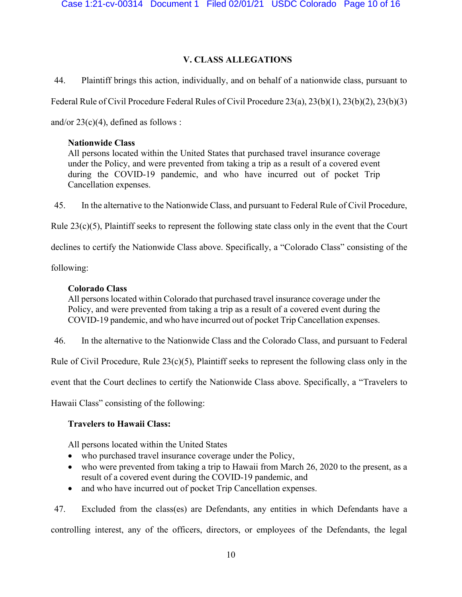# **V. CLASS ALLEGATIONS**

44. Plaintiff brings this action, individually, and on behalf of a nationwide class, pursuant to

Federal Rule of Civil Procedure Federal Rules of Civil Procedure 23(a), 23(b)(1), 23(b)(2), 23(b)(3)

and/or  $23(c)(4)$ , defined as follows :

# **Nationwide Class**

All persons located within the United States that purchased travel insurance coverage under the Policy, and were prevented from taking a trip as a result of a covered event during the COVID-19 pandemic, and who have incurred out of pocket Trip Cancellation expenses.

45. In the alternative to the Nationwide Class, and pursuant to Federal Rule of Civil Procedure,

Rule 23(c)(5), Plaintiff seeks to represent the following state class only in the event that the Court

declines to certify the Nationwide Class above. Specifically, a "Colorado Class" consisting of the

following:

# **Colorado Class**

All persons located within Colorado that purchased travel insurance coverage under the Policy, and were prevented from taking a trip as a result of a covered event during the COVID-19 pandemic, and who have incurred out of pocket Trip Cancellation expenses.

46. In the alternative to the Nationwide Class and the Colorado Class, and pursuant to Federal

Rule of Civil Procedure, Rule  $23(c)(5)$ , Plaintiff seeks to represent the following class only in the

event that the Court declines to certify the Nationwide Class above. Specifically, a "Travelers to

Hawaii Class" consisting of the following:

# **Travelers to Hawaii Class:**

All persons located within the United States

- who purchased travel insurance coverage under the Policy,
- who were prevented from taking a trip to Hawaii from March 26, 2020 to the present, as a result of a covered event during the COVID-19 pandemic, and
- and who have incurred out of pocket Trip Cancellation expenses.

47. Excluded from the class(es) are Defendants, any entities in which Defendants have a controlling interest, any of the officers, directors, or employees of the Defendants, the legal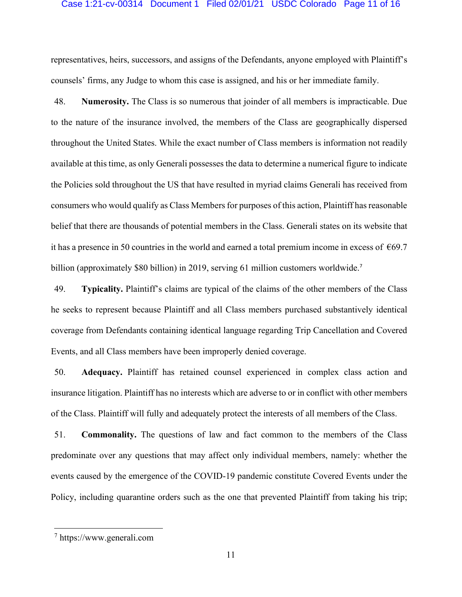#### Case 1:21-cv-00314 Document 1 Filed 02/01/21 USDC Colorado Page 11 of 16

representatives, heirs, successors, and assigns of the Defendants, anyone employed with Plaintiff's counsels' firms, any Judge to whom this case is assigned, and his or her immediate family.

48. **Numerosity.** The Class is so numerous that joinder of all members is impracticable. Due to the nature of the insurance involved, the members of the Class are geographically dispersed throughout the United States. While the exact number of Class members is information not readily available at this time, as only Generali possesses the data to determine a numerical figure to indicate the Policies sold throughout the US that have resulted in myriad claims Generali has received from consumers who would qualify as Class Members for purposes of this action, Plaintiff has reasonable belief that there are thousands of potential members in the Class. Generali states on its website that it has a presence in 50 countries in the world and earned a total premium income in excess of  $\epsilon$ 69.7 billion (approximately \$80 billion) in 2019, serving 61 million customers worldwide.<sup>7</sup>

49. **Typicality.** Plaintiff's claims are typical of the claims of the other members of the Class he seeks to represent because Plaintiff and all Class members purchased substantively identical coverage from Defendants containing identical language regarding Trip Cancellation and Covered Events, and all Class members have been improperly denied coverage.

50. **Adequacy.** Plaintiff has retained counsel experienced in complex class action and insurance litigation. Plaintiff has no interests which are adverse to or in conflict with other members of the Class. Plaintiff will fully and adequately protect the interests of all members of the Class.

51. **Commonality.** The questions of law and fact common to the members of the Class predominate over any questions that may affect only individual members, namely: whether the events caused by the emergence of the COVID-19 pandemic constitute Covered Events under the Policy, including quarantine orders such as the one that prevented Plaintiff from taking his trip;

<sup>7</sup> https://www.generali.com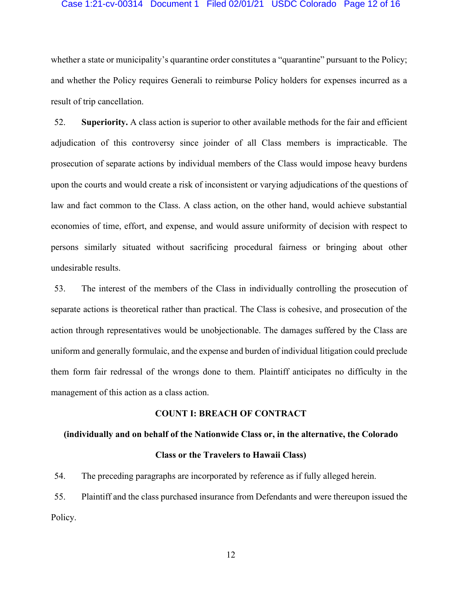### Case 1:21-cv-00314 Document 1 Filed 02/01/21 USDC Colorado Page 12 of 16

whether a state or municipality's quarantine order constitutes a "quarantine" pursuant to the Policy; and whether the Policy requires Generali to reimburse Policy holders for expenses incurred as a result of trip cancellation.

52. **Superiority.** A class action is superior to other available methods for the fair and efficient adjudication of this controversy since joinder of all Class members is impracticable. The prosecution of separate actions by individual members of the Class would impose heavy burdens upon the courts and would create a risk of inconsistent or varying adjudications of the questions of law and fact common to the Class. A class action, on the other hand, would achieve substantial economies of time, effort, and expense, and would assure uniformity of decision with respect to persons similarly situated without sacrificing procedural fairness or bringing about other undesirable results.

53. The interest of the members of the Class in individually controlling the prosecution of separate actions is theoretical rather than practical. The Class is cohesive, and prosecution of the action through representatives would be unobjectionable. The damages suffered by the Class are uniform and generally formulaic, and the expense and burden of individual litigation could preclude them form fair redressal of the wrongs done to them. Plaintiff anticipates no difficulty in the management of this action as a class action.

## **COUNT I: BREACH OF CONTRACT**

#### **(individually and on behalf of the Nationwide Class or, in the alternative, the Colorado**

## **Class or the Travelers to Hawaii Class)**

54. The preceding paragraphs are incorporated by reference as if fully alleged herein.

55. Plaintiff and the class purchased insurance from Defendants and were thereupon issued the Policy.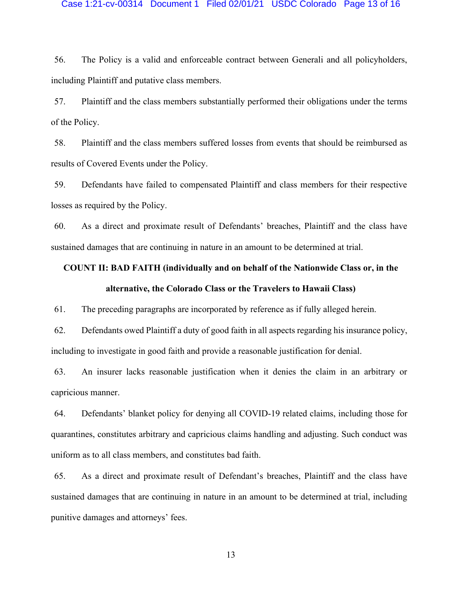#### Case 1:21-cv-00314 Document 1 Filed 02/01/21 USDC Colorado Page 13 of 16

56. The Policy is a valid and enforceable contract between Generali and all policyholders, including Plaintiff and putative class members.

57. Plaintiff and the class members substantially performed their obligations under the terms of the Policy.

58. Plaintiff and the class members suffered losses from events that should be reimbursed as results of Covered Events under the Policy.

59. Defendants have failed to compensated Plaintiff and class members for their respective losses as required by the Policy.

60. As a direct and proximate result of Defendants' breaches, Plaintiff and the class have sustained damages that are continuing in nature in an amount to be determined at trial.

# **COUNT II: BAD FAITH (individually and on behalf of the Nationwide Class or, in the alternative, the Colorado Class or the Travelers to Hawaii Class)**

61. The preceding paragraphs are incorporated by reference as if fully alleged herein.

62. Defendants owed Plaintiff a duty of good faith in all aspects regarding his insurance policy, including to investigate in good faith and provide a reasonable justification for denial.

63. An insurer lacks reasonable justification when it denies the claim in an arbitrary or capricious manner.

64. Defendants' blanket policy for denying all COVID-19 related claims, including those for quarantines, constitutes arbitrary and capricious claims handling and adjusting. Such conduct was uniform as to all class members, and constitutes bad faith.

65. As a direct and proximate result of Defendant's breaches, Plaintiff and the class have sustained damages that are continuing in nature in an amount to be determined at trial, including punitive damages and attorneys' fees.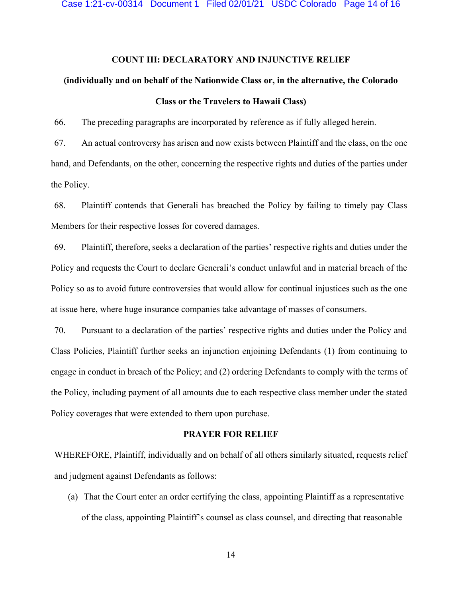## **COUNT III: DECLARATORY AND INJUNCTIVE RELIEF**

# **(individually and on behalf of the Nationwide Class or, in the alternative, the Colorado Class or the Travelers to Hawaii Class)**

66. The preceding paragraphs are incorporated by reference as if fully alleged herein.

67. An actual controversy has arisen and now exists between Plaintiff and the class, on the one hand, and Defendants, on the other, concerning the respective rights and duties of the parties under the Policy.

68. Plaintiff contends that Generali has breached the Policy by failing to timely pay Class Members for their respective losses for covered damages.

69. Plaintiff, therefore, seeks a declaration of the parties' respective rights and duties under the Policy and requests the Court to declare Generali's conduct unlawful and in material breach of the Policy so as to avoid future controversies that would allow for continual injustices such as the one at issue here, where huge insurance companies take advantage of masses of consumers.

70. Pursuant to a declaration of the parties' respective rights and duties under the Policy and Class Policies, Plaintiff further seeks an injunction enjoining Defendants (1) from continuing to engage in conduct in breach of the Policy; and (2) ordering Defendants to comply with the terms of the Policy, including payment of all amounts due to each respective class member under the stated Policy coverages that were extended to them upon purchase.

## **PRAYER FOR RELIEF**

WHEREFORE, Plaintiff, individually and on behalf of all others similarly situated, requests relief and judgment against Defendants as follows:

(a) That the Court enter an order certifying the class, appointing Plaintiff as a representative of the class, appointing Plaintiff's counsel as class counsel, and directing that reasonable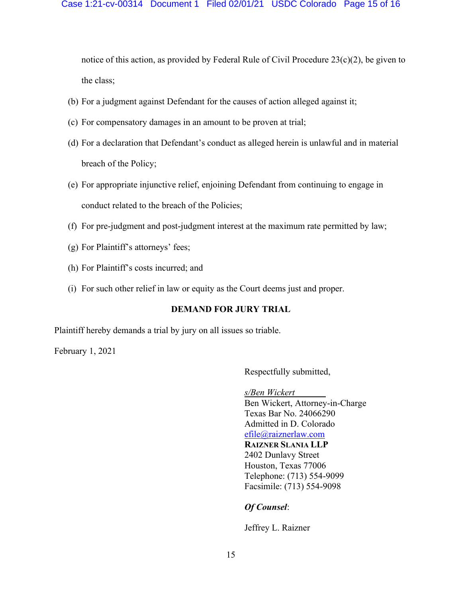## Case 1:21-cv-00314 Document 1 Filed 02/01/21 USDC Colorado Page 15 of 16

notice of this action, as provided by Federal Rule of Civil Procedure 23(c)(2), be given to the class;

- (b) For a judgment against Defendant for the causes of action alleged against it;
- (c) For compensatory damages in an amount to be proven at trial;
- (d) For a declaration that Defendant's conduct as alleged herein is unlawful and in material breach of the Policy;
- (e) For appropriate injunctive relief, enjoining Defendant from continuing to engage in conduct related to the breach of the Policies;
- (f) For pre-judgment and post-judgment interest at the maximum rate permitted by law;
- (g) For Plaintiff's attorneys' fees;
- (h) For Plaintiff's costs incurred; and
- (i) For such other relief in law or equity as the Court deems just and proper.

# **DEMAND FOR JURY TRIAL**

Plaintiff hereby demands a trial by jury on all issues so triable.

February 1, 2021

Respectfully submitted,

*s/Ben Wickert* Ben Wickert, Attorney-in-Charge Texas Bar No. 24066290 Admitted in D. Colorado [efile@raiznerlaw.com](mailto:efile@raiznerlaw.com) **RAIZNER SLANIA LLP** 2402 Dunlavy Street Houston, Texas 77006 Telephone: (713) 554-9099 Facsimile: (713) 554-9098

# *Of Counsel*:

Jeffrey L. Raizner